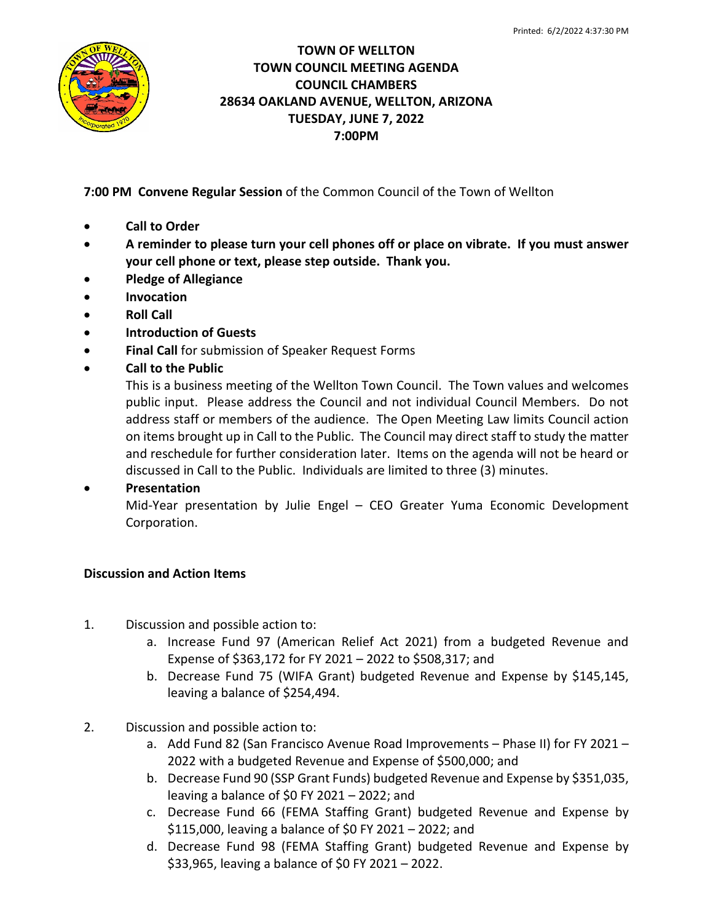

## **TOWN OF WELLTON TOWN COUNCIL MEETING AGENDA COUNCIL CHAMBERS 28634 OAKLAND AVENUE, WELLTON, ARIZONA TUESDAY, JUNE 7, 2022 7:00PM**

**7:00 PM Convene Regular Session** of the Common Council of the Town of Wellton

- **Call to Order**
- **A reminder to please turn your cell phones off or place on vibrate. If you must answer your cell phone or text, please step outside. Thank you.**
- **Pledge of Allegiance**
- **Invocation**
- **Roll Call**
- **Introduction of Guests**
- **Final Call** for submission of Speaker Request Forms
- **Call to the Public**

This is a business meeting of the Wellton Town Council. The Town values and welcomes public input. Please address the Council and not individual Council Members. Do not address staff or members of the audience. The Open Meeting Law limits Council action on items brought up in Call to the Public. The Council may direct staff to study the matter and reschedule for further consideration later. Items on the agenda will not be heard or discussed in Call to the Public. Individuals are limited to three (3) minutes.

## • **Presentation**

Mid-Year presentation by Julie Engel – CEO Greater Yuma Economic Development Corporation.

## **Discussion and Action Items**

- 1. Discussion and possible action to:
	- a. Increase Fund 97 (American Relief Act 2021) from a budgeted Revenue and Expense of \$363,172 for FY 2021 – 2022 to \$508,317; and
	- b. Decrease Fund 75 (WIFA Grant) budgeted Revenue and Expense by \$145,145, leaving a balance of \$254,494.
- 2. Discussion and possible action to:
	- a. Add Fund 82 (San Francisco Avenue Road Improvements Phase II) for FY 2021 2022 with a budgeted Revenue and Expense of \$500,000; and
	- b. Decrease Fund 90 (SSP Grant Funds) budgeted Revenue and Expense by \$351,035, leaving a balance of \$0 FY 2021 – 2022; and
	- c. Decrease Fund 66 (FEMA Staffing Grant) budgeted Revenue and Expense by \$115,000, leaving a balance of \$0 FY 2021 – 2022; and
	- d. Decrease Fund 98 (FEMA Staffing Grant) budgeted Revenue and Expense by \$33,965, leaving a balance of \$0 FY 2021 – 2022.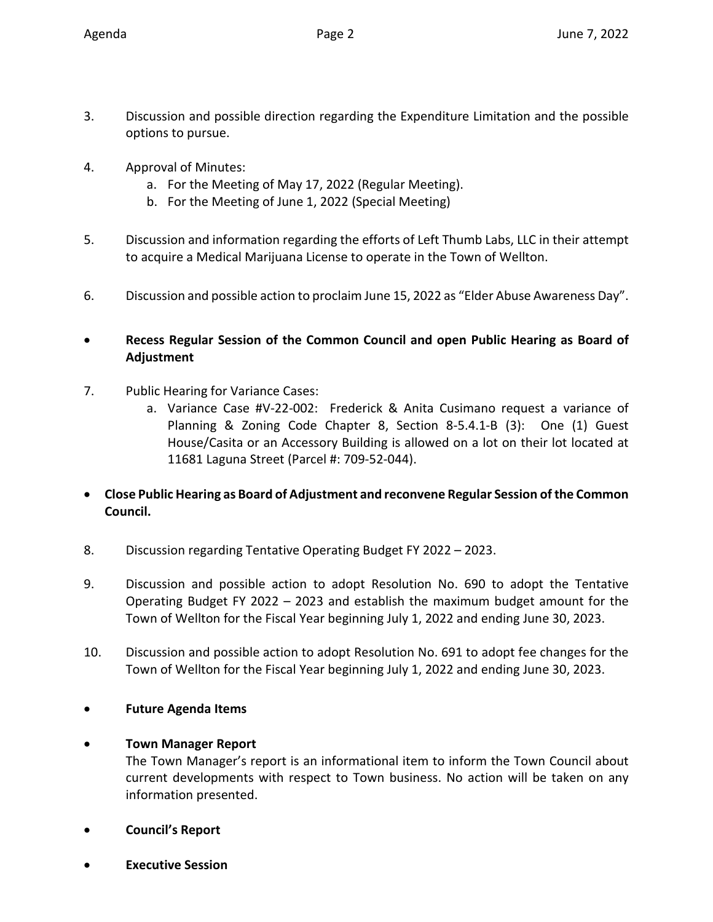- 3. Discussion and possible direction regarding the Expenditure Limitation and the possible options to pursue.
- 4. Approval of Minutes:
	- a. For the Meeting of May 17, 2022 (Regular Meeting).
	- b. For the Meeting of June 1, 2022 (Special Meeting)
- 5. Discussion and information regarding the efforts of Left Thumb Labs, LLC in their attempt to acquire a Medical Marijuana License to operate in the Town of Wellton.
- 6. Discussion and possible action to proclaim June 15, 2022 as "Elder Abuse Awareness Day".
- **Recess Regular Session of the Common Council and open Public Hearing as Board of Adjustment**
- 7. Public Hearing for Variance Cases:
	- a. Variance Case #V-22-002: Frederick & Anita Cusimano request a variance of Planning & Zoning Code Chapter 8, Section 8-5.4.1-B (3): One (1) Guest House/Casita or an Accessory Building is allowed on a lot on their lot located at 11681 Laguna Street (Parcel #: 709-52-044).
- **Close Public Hearing as Board of Adjustment and reconvene Regular Session of the Common Council.**
- 8. Discussion regarding Tentative Operating Budget FY 2022 2023.
- 9. Discussion and possible action to adopt Resolution No. 690 to adopt the Tentative Operating Budget FY 2022 – 2023 and establish the maximum budget amount for the Town of Wellton for the Fiscal Year beginning July 1, 2022 and ending June 30, 2023.
- 10. Discussion and possible action to adopt Resolution No. 691 to adopt fee changes for the Town of Wellton for the Fiscal Year beginning July 1, 2022 and ending June 30, 2023.
- **Future Agenda Items**
- **Town Manager Report**

The Town Manager's report is an informational item to inform the Town Council about current developments with respect to Town business. No action will be taken on any information presented.

- **Council's Report**
- **Executive Session**